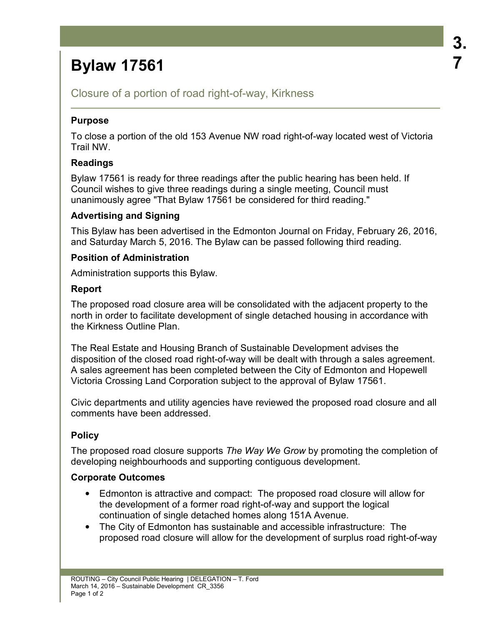# **Bylaw 17561**

Closure of a portion of road right-of-way, Kirkness

#### **Purpose**

To close a portion of the old 153 Avenue NW road right-of-way located west of Victoria Trail NW.

## **Readings**

Bylaw 17561 is ready for three readings after the public hearing has been held. If Council wishes to give three readings during a single meeting, Council must unanimously agree "That Bylaw 17561 be considered for third reading."

#### **Advertising and Signing**

This Bylaw has been advertised in the Edmonton Journal on Friday, February 26, 2016, and Saturday March 5, 2016. The Bylaw can be passed following third reading.

#### **Position of Administration**

Administration supports this Bylaw.

#### **Report**

The proposed road closure area will be consolidated with the adjacent property to the north in order to facilitate development of single detached housing in accordance with the Kirkness Outline Plan.

The Real Estate and Housing Branch of Sustainable Development advises the disposition of the closed road right-of-way will be dealt with through a sales agreement. A sales agreement has been completed between the City of Edmonton and Hopewell Victoria Crossing Land Corporation subject to the approval of Bylaw 17561.

Civic departments and utility agencies have reviewed the proposed road closure and all comments have been addressed.

## **Policy**

The proposed road closure supports *The Way We Grow* by promoting the completion of developing neighbourhoods and supporting contiguous development.

## **Corporate Outcomes**

- Edmonton is attractive and compact: The proposed road closure will allow for the development of a former road right-of-way and support the logical continuation of single detached homes along 151A Avenue.
- The City of Edmonton has sustainable and accessible infrastructure: The proposed road closure will allow for the development of surplus road right-of-way